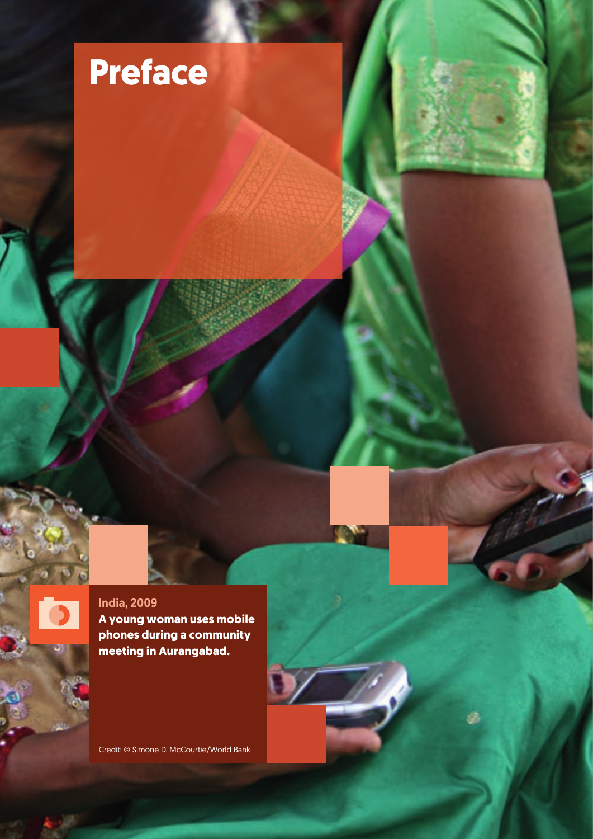



Credit: © Simone D. McCourtie/World Bank